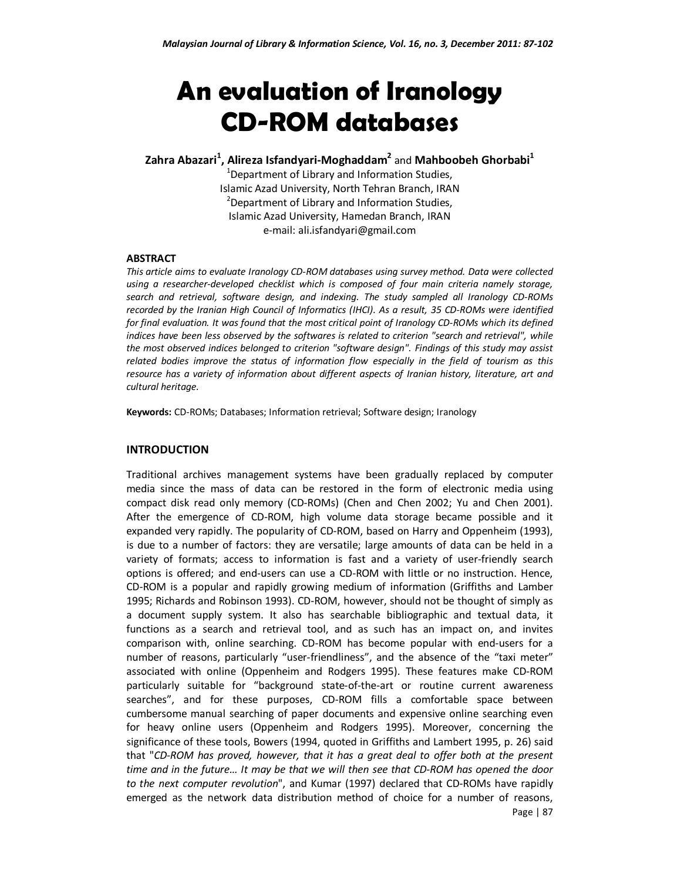# **An evaluation of Iranology CD-ROM databases**

# **Zahra Abazari<sup>1</sup> , Alireza Isfandyari-Moghaddam<sup>2</sup>** and **Mahboobeh Ghorbabi<sup>1</sup>**

 $1$ Department of Library and Information Studies, Islamic Azad University, North Tehran Branch, IRAN <sup>2</sup>Department of Library and Information Studies, Islamic Azad University, Hamedan Branch, IRAN e-mail: ali.isfandyari@gmail.com

#### **ABSTRACT**

*This article aims to evaluate Iranology CD-ROM databases using survey method. Data were collected using a researcher-developed checklist which is composed of four main criteria namely storage, search and retrieval, software design, and indexing. The study sampled all Iranology CD-ROMs recorded by the Iranian High Council of Informatics (IHCI). As a result, 35 CD-ROMs were identified for final evaluation. It was found that the most critical point of Iranology CD-ROMs which its defined indices have been less observed by the softwares is related to criterion "search and retrieval", while the most observed indices belonged to criterion "software design". Findings of this study may assist related bodies improve the status of information flow especially in the field of tourism as this resource has a variety of information about different aspects of Iranian history, literature, art and cultural heritage.* 

**Keywords:** CD-ROMs; Databases; Information retrieval; Software design; Iranology

#### **INTRODUCTION**

Page | 87 Traditional archives management systems have been gradually replaced by computer media since the mass of data can be restored in the form of electronic media using compact disk read only memory (CD-ROMs) (Chen and Chen 2002; Yu and Chen 2001). After the emergence of CD-ROM, high volume data storage became possible and it expanded very rapidly. The popularity of CD-ROM, based on Harry and Oppenheim (1993), is due to a number of factors: they are versatile; large amounts of data can be held in a variety of formats; access to information is fast and a variety of user-friendly search options is offered; and end-users can use a CD-ROM with little or no instruction. Hence, CD-ROM is a popular and rapidly growing medium of information (Griffiths and Lamber 1995; Richards and Robinson 1993). CD-ROM, however, should not be thought of simply as a document supply system. It also has searchable bibliographic and textual data, it functions as a search and retrieval tool, and as such has an impact on, and invites comparison with, online searching. CD-ROM has become popular with end-users for a number of reasons, particularly "user-friendliness", and the absence of the "taxi meter" associated with online (Oppenheim and Rodgers 1995). These features make CD-ROM particularly suitable for "background state-of-the-art or routine current awareness searches", and for these purposes, CD-ROM fills a comfortable space between cumbersome manual searching of paper documents and expensive online searching even for heavy online users (Oppenheim and Rodgers 1995). Moreover, concerning the significance of these tools, Bowers (1994, quoted in Griffiths and Lambert 1995, p. 26) said that "*CD-ROM has proved, however, that it has a great deal to offer both at the present time and in the future… It may be that we will then see that CD-ROM has opened the door to the next computer revolution*", and Kumar (1997) declared that CD-ROMs have rapidly emerged as the network data distribution method of choice for a number of reasons,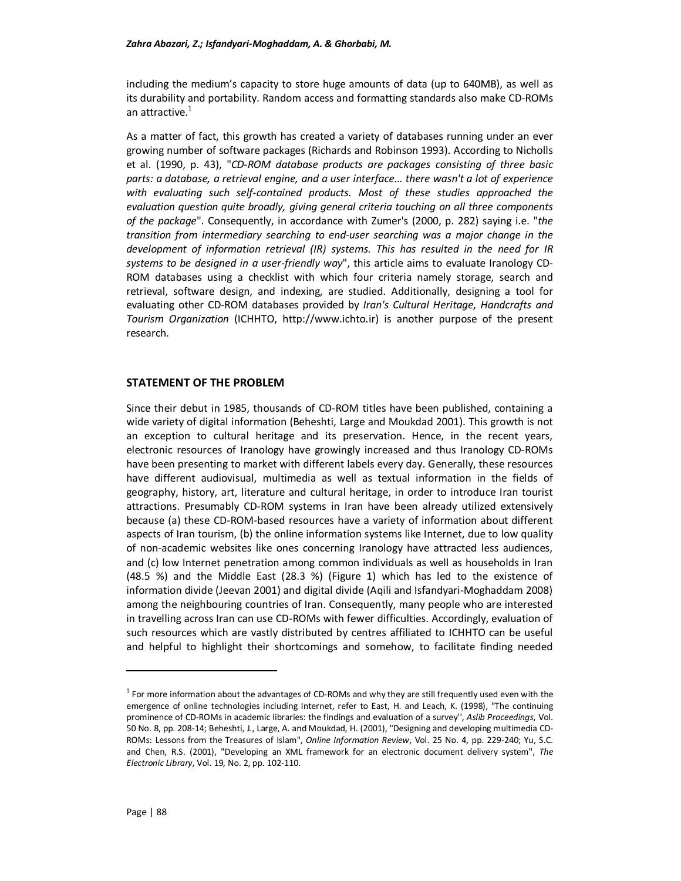including the medium's capacity to store huge amounts of data (up to 640MB), as well as its durability and portability. Random access and formatting standards also make CD-ROMs an attractive.<sup>1</sup>

As a matter of fact, this growth has created a variety of databases running under an ever growing number of software packages (Richards and Robinson 1993). According to Nicholls et al. (1990, p. 43), "*CD-ROM database products are packages consisting of three basic parts: a database, a retrieval engine, and a user interface… there wasn't a lot of experience with evaluating such self-contained products. Most of these studies approached the evaluation question quite broadly, giving general criteria touching on all three components of the package*". Consequently, in accordance with Zumer's (2000, p. 282) saying i.e. "*the transition from intermediary searching to end-user searching was a major change in the development of information retrieval (IR) systems. This has resulted in the need for IR systems to be designed in a user-friendly way*", this article aims to evaluate Iranology CD-ROM databases using a checklist with which four criteria namely storage, search and retrieval, software design, and indexing, are studied. Additionally, designing a tool for evaluating other CD-ROM databases provided by *Iran's Cultural Heritage, Handcrafts and Tourism Organization* (ICHHTO, http://www.ichto.ir) is another purpose of the present research.

## **STATEMENT OF THE PROBLEM**

Since their debut in 1985, thousands of CD-ROM titles have been published, containing a wide variety of digital information (Beheshti, Large and Moukdad 2001). This growth is not an exception to cultural heritage and its preservation. Hence, in the recent years, electronic resources of Iranology have growingly increased and thus Iranology CD-ROMs have been presenting to market with different labels every day. Generally, these resources have different audiovisual, multimedia as well as textual information in the fields of geography, history, art, literature and cultural heritage, in order to introduce Iran tourist attractions. Presumably CD-ROM systems in Iran have been already utilized extensively because (a) these CD-ROM-based resources have a variety of information about different aspects of Iran tourism, (b) the online information systems like Internet, due to low quality of non-academic websites like ones concerning Iranology have attracted less audiences, and (c) low Internet penetration among common individuals as well as households in Iran (48.5 %) and the Middle East (28.3 %) (Figure 1) which has led to the existence of information divide (Jeevan 2001) and digital divide (Aqili and Isfandyari-Moghaddam 2008) among the neighbouring countries of Iran. Consequently, many people who are interested in travelling across Iran can use CD-ROMs with fewer difficulties. Accordingly, evaluation of such resources which are vastly distributed by centres affiliated to ICHHTO can be useful and helpful to highlight their shortcomings and somehow, to facilitate finding needed

l

<sup>&</sup>lt;sup>1</sup> For more information about the advantages of CD-ROMs and why they are still frequently used even with the emergence of online technologies including Internet, refer to East, H. and Leach, K. (1998), "The continuing prominence of CD-ROMs in academic libraries: the findings and evaluation of a survey'', *Aslib Proceedings*, Vol. 50 No. 8, pp. 208-14; Beheshti, J., Large, A. and Moukdad, H. (2001), "Designing and developing multimedia CD-ROMs: Lessons from the Treasures of Islam", *Online Information Review*, Vol. 25 No. 4, pp. 229-240; Yu, S.C. and Chen, R.S. (2001), "Developing an XML framework for an electronic document delivery system", *The Electronic Library*, Vol. 19, No. 2, pp. 102-110.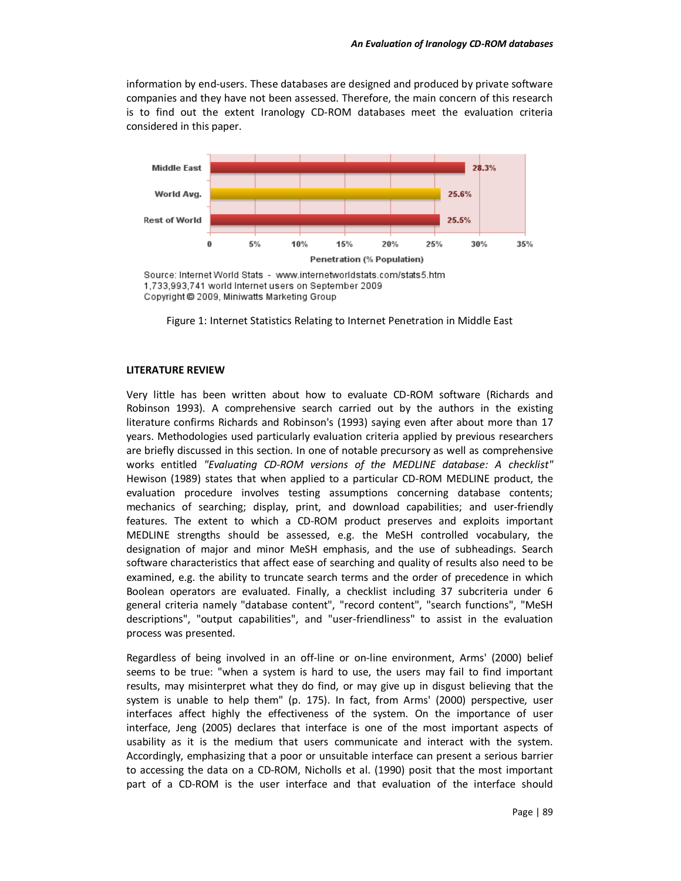information by end-users. These databases are designed and produced by private software companies and they have not been assessed. Therefore, the main concern of this research is to find out the extent Iranology CD-ROM databases meet the evaluation criteria considered in this paper.



Source: Internet World Stats - www.internetworldstats.com/stats5.htm 1,733,993,741 world Internet users on September 2009 Copyright @ 2009, Miniwatts Marketing Group

Figure 1: Internet Statistics Relating to Internet Penetration in Middle East

#### **LITERATURE REVIEW**

Very little has been written about how to evaluate CD-ROM software (Richards and Robinson 1993). A comprehensive search carried out by the authors in the existing literature confirms Richards and Robinson's (1993) saying even after about more than 17 years. Methodologies used particularly evaluation criteria applied by previous researchers are briefly discussed in this section. In one of notable precursory as well as comprehensive works entitled *"Evaluating CD-ROM versions of the MEDLINE database: A checklist"* Hewison (1989) states that when applied to a particular CD-ROM MEDLINE product, the evaluation procedure involves testing assumptions concerning database contents; mechanics of searching; display, print, and download capabilities; and user-friendly features. The extent to which a CD-ROM product preserves and exploits important MEDLINE strengths should be assessed, e.g. the MeSH controlled vocabulary, the designation of major and minor MeSH emphasis, and the use of subheadings. Search software characteristics that affect ease of searching and quality of results also need to be examined, e.g. the ability to truncate search terms and the order of precedence in which Boolean operators are evaluated. Finally, a checklist including 37 subcriteria under 6 general criteria namely "database content", "record content", "search functions", "MeSH descriptions", "output capabilities", and "user-friendliness" to assist in the evaluation process was presented.

Regardless of being involved in an off-line or on-line environment, Arms' (2000) belief seems to be true: "when a system is hard to use, the users may fail to find important results, may misinterpret what they do find, or may give up in disgust believing that the system is unable to help them" (p. 175). In fact, from Arms' (2000) perspective, user interfaces affect highly the effectiveness of the system. On the importance of user interface, Jeng (2005) declares that interface is one of the most important aspects of usability as it is the medium that users communicate and interact with the system. Accordingly, emphasizing that a poor or unsuitable interface can present a serious barrier to accessing the data on a CD-ROM, Nicholls et al. (1990) posit that the most important part of a CD-ROM is the user interface and that evaluation of the interface should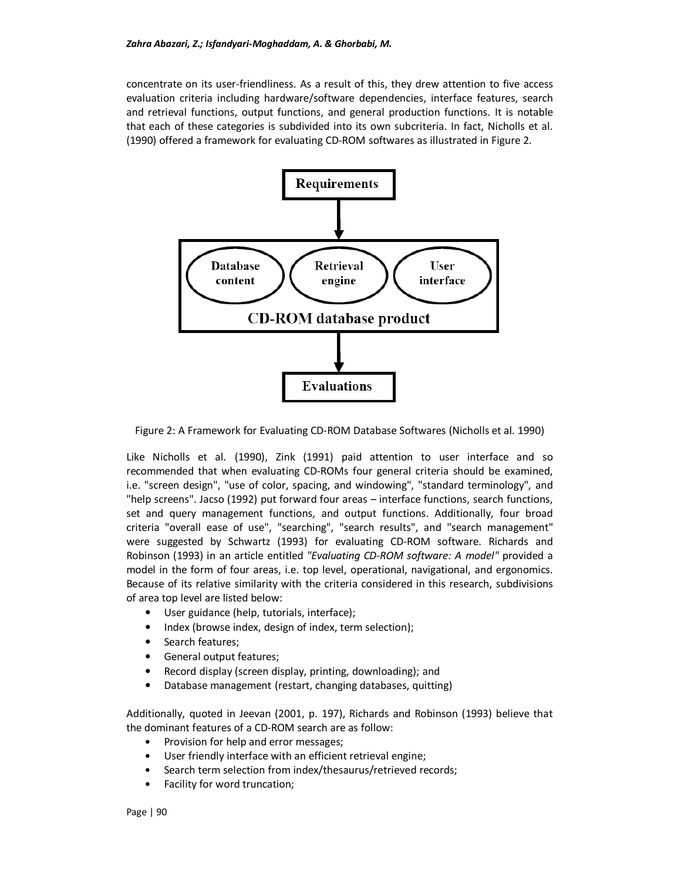concentrate on its user-friendliness. As a result of this, they drew attention to five access evaluation criteria including hardware/software dependencies, interface features, search and retrieval functions, output functions, and general production functions. It is notable that each of these categories is subdivided into its own subcriteria. In fact, Nicholls et al. (1990) offered a framework for evaluating CD-ROM softwares as illustrated in Figure 2.



Figure 2: A Framework for Evaluating CD-ROM Database Softwares (Nicholls et al. 1990)

Like Nicholls et al. (1990), Zink (1991) paid attention to user interface and so recommended that when evaluating CD-ROMs four general criteria should be examined, i.e. "screen design", "use of color, spacing, and windowing", "standard terminology", and "help screens". Jacso (1992) put forward four areas – interface functions, search functions, set and query management functions, and output functions. Additionally, four broad criteria "overall ease of use", "searching", "search results", and "search management" were suggested by Schwartz (1993) for evaluating CD-ROM software. Richards and Robinson (1993) in an article entitled *"Evaluating CD-ROM software: A model"* provided a model in the form of four areas, i.e. top level, operational, navigational, and ergonomics. Because of its relative similarity with the criteria considered in this research, subdivisions of area top level are listed below:

- User guidance (help, tutorials, interface);
- Index (browse index, design of index, term selection);
- Search features;
- General output features;
- Record display (screen display, printing, downloading); and
- Database management (restart, changing databases, quitting)

Additionally, quoted in Jeevan (2001, p. 197), Richards and Robinson (1993) believe that the dominant features of a CD-ROM search are as follow:

- Provision for help and error messages;
- User friendly interface with an efficient retrieval engine;
- Search term selection from index/thesaurus/retrieved records;
- Facility for word truncation;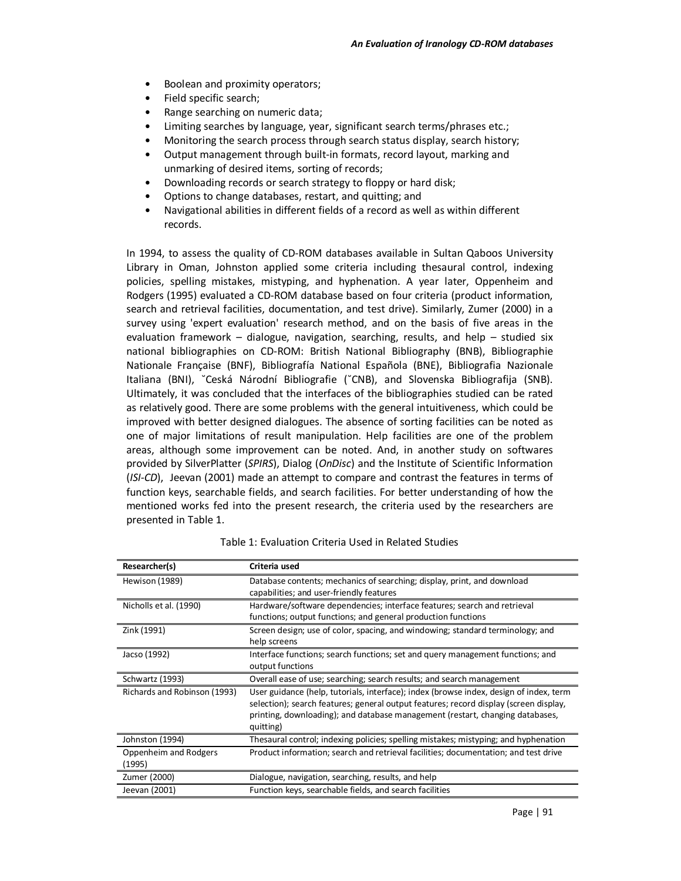- Boolean and proximity operators;
- Field specific search;
- Range searching on numeric data;
- Limiting searches by language, year, significant search terms/phrases etc.;
- Monitoring the search process through search status display, search history;
- Output management through built-in formats, record layout, marking and unmarking of desired items, sorting of records;
- Downloading records or search strategy to floppy or hard disk;
- Options to change databases, restart, and quitting; and
- Navigational abilities in different fields of a record as well as within different records.

In 1994, to assess the quality of CD-ROM databases available in Sultan Qaboos University Library in Oman, Johnston applied some criteria including thesaural control, indexing policies, spelling mistakes, mistyping, and hyphenation. A year later, Oppenheim and Rodgers (1995) evaluated a CD-ROM database based on four criteria (product information, search and retrieval facilities, documentation, and test drive). Similarly, Zumer (2000) in a survey using 'expert evaluation' research method, and on the basis of five areas in the evaluation framework – dialogue, navigation, searching, results, and help – studied six national bibliographies on CD-ROM: British National Bibliography (BNB), Bibliographie Nationale Française (BNF), Bibliografía National Española (BNE), Bibliografia Nazionale Italiana (BNI), ˘Ceská Národní Bibliografie (˘CNB), and Slovenska Bibliografija (SNB). Ultimately, it was concluded that the interfaces of the bibliographies studied can be rated as relatively good. There are some problems with the general intuitiveness, which could be improved with better designed dialogues. The absence of sorting facilities can be noted as one of major limitations of result manipulation. Help facilities are one of the problem areas, although some improvement can be noted. And, in another study on softwares provided by SilverPlatter (*SPIRS*), Dialog (*OnDisc*) and the Institute of Scientific Information (*ISI-CD*), Jeevan (2001) made an attempt to compare and contrast the features in terms of function keys, searchable fields, and search facilities. For better understanding of how the mentioned works fed into the present research, the criteria used by the researchers are presented in Table 1.

| Researcher(s)                   | Criteria used                                                                                                                                                                                                                                                                 |
|---------------------------------|-------------------------------------------------------------------------------------------------------------------------------------------------------------------------------------------------------------------------------------------------------------------------------|
| Hewison (1989)                  | Database contents; mechanics of searching; display, print, and download<br>capabilities; and user-friendly features                                                                                                                                                           |
| Nicholls et al. (1990)          | Hardware/software dependencies; interface features; search and retrieval<br>functions; output functions; and general production functions                                                                                                                                     |
| Zink (1991)                     | Screen design; use of color, spacing, and windowing; standard terminology; and<br>help screens                                                                                                                                                                                |
| Jacso (1992)                    | Interface functions; search functions; set and query management functions; and<br>output functions                                                                                                                                                                            |
| Schwartz (1993)                 | Overall ease of use; searching; search results; and search management                                                                                                                                                                                                         |
| Richards and Robinson (1993)    | User guidance (help, tutorials, interface); index (browse index, design of index, term<br>selection); search features; general output features; record display (screen display,<br>printing, downloading); and database management (restart, changing databases,<br>quitting) |
| Johnston (1994)                 | Thesaural control; indexing policies; spelling mistakes; mistyping; and hyphenation                                                                                                                                                                                           |
| Oppenheim and Rodgers<br>(1995) | Product information; search and retrieval facilities; documentation; and test drive                                                                                                                                                                                           |
| Zumer (2000)                    | Dialogue, navigation, searching, results, and help                                                                                                                                                                                                                            |
| Jeevan (2001)                   | Function keys, searchable fields, and search facilities                                                                                                                                                                                                                       |

Table 1: Evaluation Criteria Used in Related Studies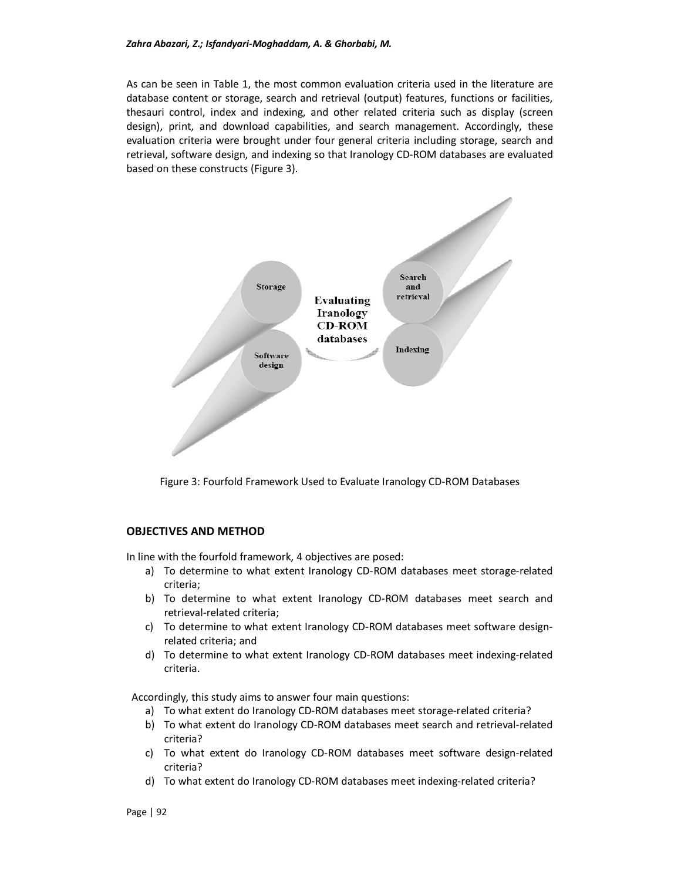As can be seen in Table 1, the most common evaluation criteria used in the literature are database content or storage, search and retrieval (output) features, functions or facilities, thesauri control, index and indexing, and other related criteria such as display (screen design), print, and download capabilities, and search management. Accordingly, these evaluation criteria were brought under four general criteria including storage, search and retrieval, software design, and indexing so that Iranology CD-ROM databases are evaluated based on these constructs (Figure 3).



Figure 3: Fourfold Framework Used to Evaluate Iranology CD-ROM Databases

## **OBJECTIVES AND METHOD**

In line with the fourfold framework, 4 objectives are posed:

- a) To determine to what extent Iranology CD-ROM databases meet storage-related criteria;
- b) To determine to what extent Iranology CD-ROM databases meet search and retrieval-related criteria;
- c) To determine to what extent Iranology CD-ROM databases meet software designrelated criteria; and
- d) To determine to what extent Iranology CD-ROM databases meet indexing-related criteria.

Accordingly, this study aims to answer four main questions:

- a) To what extent do Iranology CD-ROM databases meet storage-related criteria?
- b) To what extent do Iranology CD-ROM databases meet search and retrieval-related criteria?
- c) To what extent do Iranology CD-ROM databases meet software design-related criteria?
- d) To what extent do Iranology CD-ROM databases meet indexing-related criteria?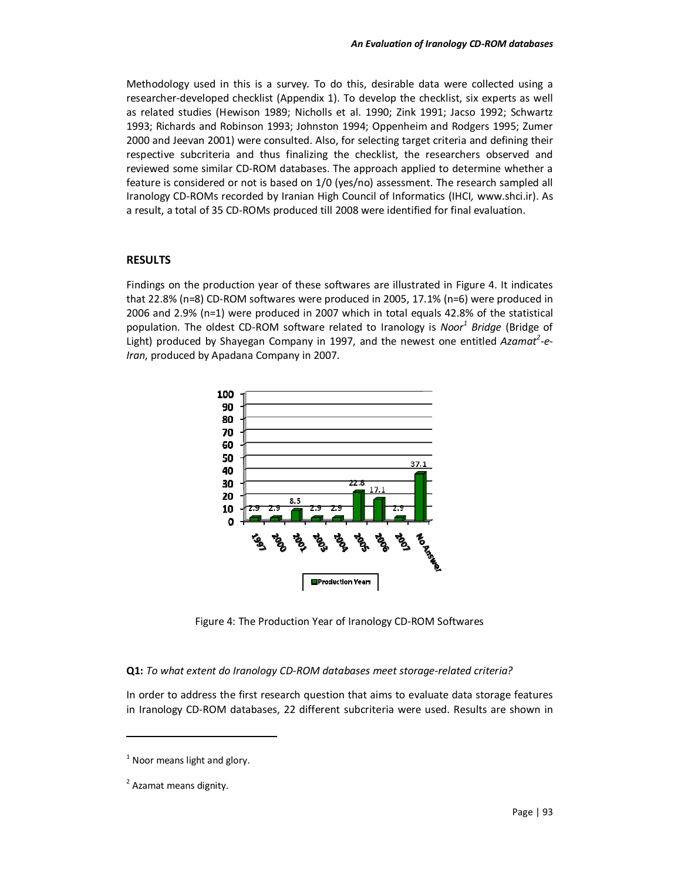Methodology used in this is a survey. To do this, desirable data were collected using a researcher-developed checklist (Appendix 1). To develop the checklist, six experts as well as related studies (Hewison 1989; Nicholls et al. 1990; Zink 1991; Jacso 1992; Schwartz 1993; Richards and Robinson 1993; Johnston 1994; Oppenheim and Rodgers 1995; Zumer 2000 and Jeevan 2001) were consulted. Also, for selecting target criteria and defining their respective subcriteria and thus finalizing the checklist, the researchers observed and reviewed some similar CD-ROM databases. The approach applied to determine whether a feature is considered or not is based on 1/0 (yes/no) assessment. The research sampled all Iranology CD-ROMs recorded by Iranian High Council of Informatics (IHCI*,* www.shci.ir). As a result, a total of 35 CD-ROMs produced till 2008 were identified for final evaluation.

## **RESULTS**

Findings on the production year of these softwares are illustrated in Figure 4. It indicates that 22.8% (n=8) CD-ROM softwares were produced in 2005, 17.1% (n=6) were produced in 2006 and 2.9% (n=1) were produced in 2007 which in total equals 42.8% of the statistical population. The oldest CD-ROM software related to Iranology is *Noor<sup>1</sup> Bridge* (Bridge of Light) produced by Shayegan Company in 1997, and the newest one entitled Azamat<sup>2</sup>-e-*Iran*, produced by Apadana Company in 2007.



Figure 4: The Production Year of Iranology CD-ROM Softwares

#### **Q1:** *To what extent do Iranology CD-ROM databases meet storage-related criteria?*

In order to address the first research question that aims to evaluate data storage features in Iranology CD-ROM databases, 22 different subcriteria were used. Results are shown in

 $\overline{a}$ 

 $<sup>1</sup>$  Noor means light and glory.</sup>

<sup>&</sup>lt;sup>2</sup> Azamat means dignity.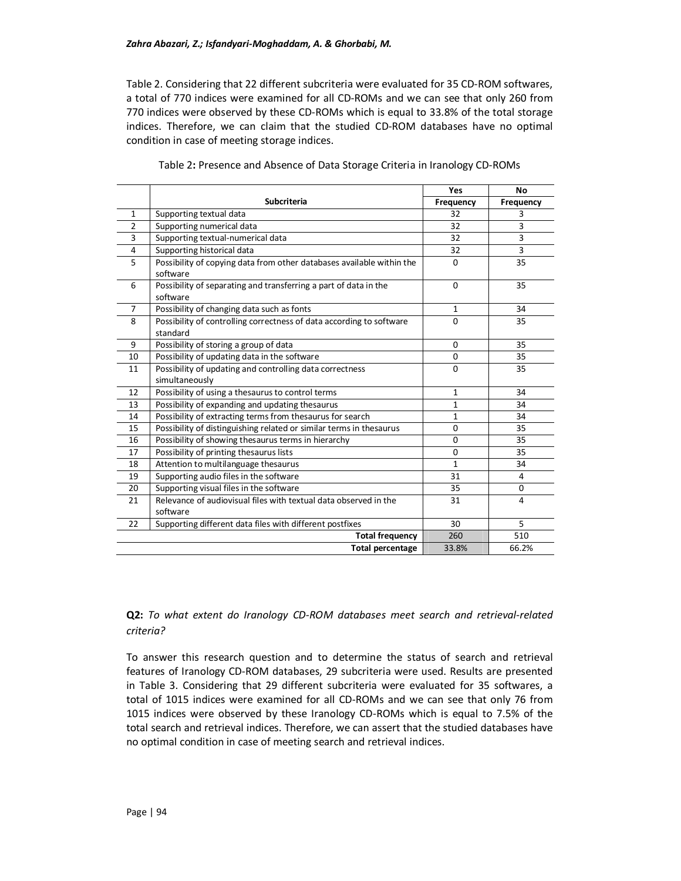Table 2. Considering that 22 different subcriteria were evaluated for 35 CD-ROM softwares, a total of 770 indices were examined for all CD-ROMs and we can see that only 260 from 770 indices were observed by these CD-ROMs which is equal to 33.8% of the total storage indices. Therefore, we can claim that the studied CD-ROM databases have no optimal condition in case of meeting storage indices.

|                |                                                                                   | Yes          | No             |
|----------------|-----------------------------------------------------------------------------------|--------------|----------------|
|                | Subcriteria                                                                       | Frequency    | Frequency      |
| 1              | Supporting textual data                                                           | 32           | 3              |
| $\overline{2}$ | Supporting numerical data                                                         | 32           | 3              |
| 3              | Supporting textual-numerical data                                                 | 32           | 3              |
| 4              | Supporting historical data                                                        | 32           | 3              |
| 5              | Possibility of copying data from other databases available within the<br>software | $\Omega$     | 35             |
| 6              | Possibility of separating and transferring a part of data in the<br>software      | $\Omega$     | 35             |
| $\overline{7}$ | Possibility of changing data such as fonts                                        | $\mathbf{1}$ | 34             |
| 8              | Possibility of controlling correctness of data according to software<br>standard  | $\Omega$     | 35             |
| 9              | Possibility of storing a group of data                                            | $\Omega$     | 35             |
| 10             | Possibility of updating data in the software                                      | $\mathbf 0$  | 35             |
| 11             | Possibility of updating and controlling data correctness<br>simultaneously        | $\Omega$     | 35             |
| 12             | Possibility of using a thesaurus to control terms                                 | $\mathbf{1}$ | 34             |
| 13             | Possibility of expanding and updating thesaurus                                   | $\mathbf{1}$ | 34             |
| 14             | Possibility of extracting terms from thesaurus for search                         | $\mathbf{1}$ | 34             |
| 15             | Possibility of distinguishing related or similar terms in thesaurus               | $\Omega$     | 35             |
| 16             | Possibility of showing thesaurus terms in hierarchy                               | $\Omega$     | 35             |
| 17             | Possibility of printing thesaurus lists                                           | $\Omega$     | 35             |
| 18             | Attention to multilanguage thesaurus                                              | $\mathbf{1}$ | 34             |
| 19             | Supporting audio files in the software                                            | 31           | 4              |
| 20             | Supporting visual files in the software                                           | 35           | 0              |
| 21             | Relevance of audiovisual files with textual data observed in the<br>software      | 31           | $\overline{4}$ |
| 22             | Supporting different data files with different postfixes                          | 30           | 5              |
|                | <b>Total frequency</b>                                                            | 260          | 510            |
|                | <b>Total percentage</b>                                                           | 33.8%        | 66.2%          |

Table 2**:** Presence and Absence of Data Storage Criteria in Iranology CD-ROMs

## **Q2:** *To what extent do Iranology CD-ROM databases meet search and retrieval-related criteria?*

To answer this research question and to determine the status of search and retrieval features of Iranology CD-ROM databases, 29 subcriteria were used. Results are presented in Table 3. Considering that 29 different subcriteria were evaluated for 35 softwares, a total of 1015 indices were examined for all CD-ROMs and we can see that only 76 from 1015 indices were observed by these Iranology CD-ROMs which is equal to 7.5% of the total search and retrieval indices. Therefore, we can assert that the studied databases have no optimal condition in case of meeting search and retrieval indices.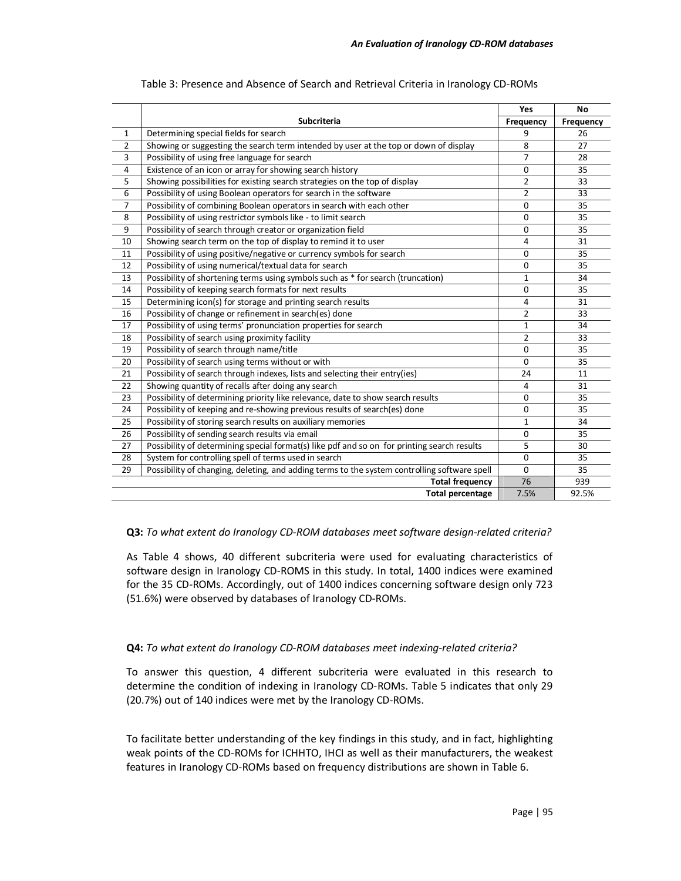|                |                                                                                              | Yes              | <b>No</b> |
|----------------|----------------------------------------------------------------------------------------------|------------------|-----------|
|                | <b>Subcriteria</b>                                                                           | <b>Frequency</b> | Frequency |
| 1              | Determining special fields for search                                                        | 9                | 26        |
| $\overline{2}$ | Showing or suggesting the search term intended by user at the top or down of display         | 8                | 27        |
| 3              | Possibility of using free language for search                                                | $\overline{7}$   | 28        |
| 4              | Existence of an icon or array for showing search history                                     | $\mathbf 0$      | 35        |
| 5              | Showing possibilities for existing search strategies on the top of display                   | $\overline{2}$   | 33        |
| 6              | Possibility of using Boolean operators for search in the software                            | $\overline{2}$   | 33        |
| 7              | Possibility of combining Boolean operators in search with each other                         | $\Omega$         | 35        |
| 8              | Possibility of using restrictor symbols like - to limit search                               | $\Omega$         | 35        |
| 9              | Possibility of search through creator or organization field                                  | 0                | 35        |
| 10             | Showing search term on the top of display to remind it to user                               | 4                | 31        |
| 11             | Possibility of using positive/negative or currency symbols for search                        | 0                | 35        |
| 12             | Possibility of using numerical/textual data for search                                       | $\Omega$         | 35        |
| 13             | Possibility of shortening terms using symbols such as * for search (truncation)              | $\mathbf 1$      | 34        |
| 14             | Possibility of keeping search formats for next results                                       | $\Omega$         | 35        |
| 15             | Determining icon(s) for storage and printing search results                                  | 4                | 31        |
| 16             | Possibility of change or refinement in search(es) done                                       | $\overline{2}$   | 33        |
| 17             | Possibility of using terms' pronunciation properties for search                              | $\mathbf{1}$     | 34        |
| 18             | Possibility of search using proximity facility                                               | $\overline{2}$   | 33        |
| 19             | Possibility of search through name/title                                                     | $\mathbf 0$      | 35        |
| 20             | Possibility of search using terms without or with                                            | $\Omega$         | 35        |
| 21             | Possibility of search through indexes, lists and selecting their entry(ies)                  | 24               | 11        |
| 22             | Showing quantity of recalls after doing any search                                           | 4                | 31        |
| 23             | Possibility of determining priority like relevance, date to show search results              | $\mathbf 0$      | 35        |
| 24             | Possibility of keeping and re-showing previous results of search(es) done                    | 0                | 35        |
| 25             | Possibility of storing search results on auxiliary memories                                  | $\mathbf 1$      | 34        |
| 26             | Possibility of sending search results via email                                              | 0                | 35        |
| 27             | Possibility of determining special format(s) like pdf and so on for printing search results  | 5                | 30        |
| 28             | System for controlling spell of terms used in search                                         | $\Omega$         | 35        |
| 29             | Possibility of changing, deleting, and adding terms to the system controlling software spell | $\Omega$         | 35        |
|                | <b>Total frequency</b>                                                                       | 76               | 939       |
|                | <b>Total percentage</b>                                                                      | 7.5%             | 92.5%     |

#### Table 3: Presence and Absence of Search and Retrieval Criteria in Iranology CD-ROMs

## **Q3:** *To what extent do Iranology CD-ROM databases meet software design-related criteria?*

As Table 4 shows, 40 different subcriteria were used for evaluating characteristics of software design in Iranology CD-ROMS in this study. In total, 1400 indices were examined for the 35 CD-ROMs. Accordingly, out of 1400 indices concerning software design only 723 (51.6%) were observed by databases of Iranology CD-ROMs.

## **Q4:** *To what extent do Iranology CD-ROM databases meet indexing-related criteria?*

To answer this question, 4 different subcriteria were evaluated in this research to determine the condition of indexing in Iranology CD-ROMs. Table 5 indicates that only 29 (20.7%) out of 140 indices were met by the Iranology CD-ROMs.

To facilitate better understanding of the key findings in this study, and in fact, highlighting weak points of the CD-ROMs for ICHHTO, IHCI as well as their manufacturers, the weakest features in Iranology CD-ROMs based on frequency distributions are shown in Table 6.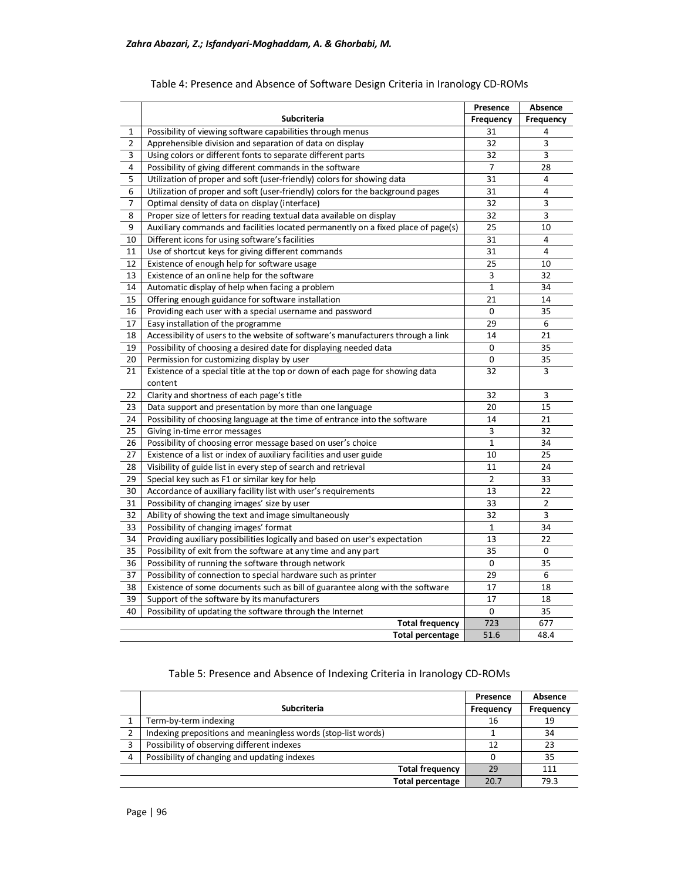|                |                                                                                   | Presence         | Absence        |
|----------------|-----------------------------------------------------------------------------------|------------------|----------------|
|                | Subcriteria                                                                       | <b>Frequency</b> | Frequency      |
| 1              | Possibility of viewing software capabilities through menus                        | 31               | 4              |
| $\overline{2}$ | Apprehensible division and separation of data on display                          | 32               | 3              |
| 3              | Using colors or different fonts to separate different parts                       | 32               | 3              |
| 4              | Possibility of giving different commands in the software                          | 7                | 28             |
| 5              | Utilization of proper and soft (user-friendly) colors for showing data            | 31               | $\overline{4}$ |
| 6              | Utilization of proper and soft (user-friendly) colors for the background pages    | 31               | 4              |
| 7              | Optimal density of data on display (interface)                                    | 32               | 3              |
| 8              | Proper size of letters for reading textual data available on display              | 32               | 3              |
| 9              | Auxiliary commands and facilities located permanently on a fixed place of page(s) | 25               | 10             |
| 10             | Different icons for using software's facilities                                   | 31               | 4              |
| 11             | Use of shortcut keys for giving different commands                                | 31               | 4              |
| 12             | Existence of enough help for software usage                                       | 25               | 10             |
| 13             | Existence of an online help for the software                                      | 3                | 32             |
| 14             | Automatic display of help when facing a problem                                   | $\mathbf{1}$     | 34             |
| 15             | Offering enough guidance for software installation                                | 21               | 14             |
| 16             | Providing each user with a special username and password                          | $\pmb{0}$        | 35             |
| 17             | Easy installation of the programme                                                | 29               | 6              |
| 18             | Accessibility of users to the website of software's manufacturers through a link  | 14               | 21             |
| 19             | Possibility of choosing a desired date for displaying needed data                 | $\mathbf 0$      | 35             |
| 20             | Permission for customizing display by user                                        | $\mathbf 0$      | 35             |
| 21             | Existence of a special title at the top or down of each page for showing data     | 32               | 3              |
|                | content                                                                           |                  |                |
| 22             | Clarity and shortness of each page's title                                        | 32               | 3              |
| 23             | Data support and presentation by more than one language                           | 20               | 15             |
| 24             | Possibility of choosing language at the time of entrance into the software        | 14               | 21             |
| 25             | Giving in-time error messages                                                     | 3                | 32             |
| 26             | Possibility of choosing error message based on user's choice                      | $\mathbf{1}$     | 34             |
| 27             | Existence of a list or index of auxiliary facilities and user guide               | 10               | 25             |
| 28             | Visibility of guide list in every step of search and retrieval                    | 11               | 24             |
| 29             | Special key such as F1 or similar key for help                                    | $\overline{2}$   | 33             |
| 30             | Accordance of auxiliary facility list with user's requirements                    | 13               | 22             |
| 31             | Possibility of changing images' size by user                                      | 33               | $\overline{2}$ |
| 32             | Ability of showing the text and image simultaneously                              | 32               | 3              |
| 33             | Possibility of changing images' format                                            | 1                | 34             |
| 34             | Providing auxiliary possibilities logically and based on user's expectation       | 13               | 22             |
| 35             | Possibility of exit from the software at any time and any part                    | 35               | 0              |
| 36             | Possibility of running the software through network                               | $\mathbf 0$      | 35             |
| 37             | Possibility of connection to special hardware such as printer                     | 29               | 6              |
| 38             | Existence of some documents such as bill of guarantee along with the software     | 17               | 18             |
| 39             | Support of the software by its manufacturers                                      | 17               | 18             |
| 40             | Possibility of updating the software through the Internet                         | $\Omega$         | 35             |
|                | <b>Total frequency</b>                                                            | 723              | 677            |
|                | <b>Total percentage</b>                                                           | 51.6             | 48.4           |

# Table 4: Presence and Absence of Software Design Criteria in Iranology CD-ROMs

## Table 5: Presence and Absence of Indexing Criteria in Iranology CD-ROMs

|   |                                                               | Presence  | Absence   |
|---|---------------------------------------------------------------|-----------|-----------|
|   | <b>Subcriteria</b>                                            | Frequency | Frequency |
|   | Term-by-term indexing                                         | 16        | 19        |
|   | Indexing prepositions and meaningless words (stop-list words) |           | 34        |
| 3 | Possibility of observing different indexes                    | 12        | 23        |
| 4 | Possibility of changing and updating indexes                  |           | 35        |
|   | <b>Total frequency</b>                                        | 29        | 111       |
|   | <b>Total percentage</b>                                       | 20.7      | 79.3      |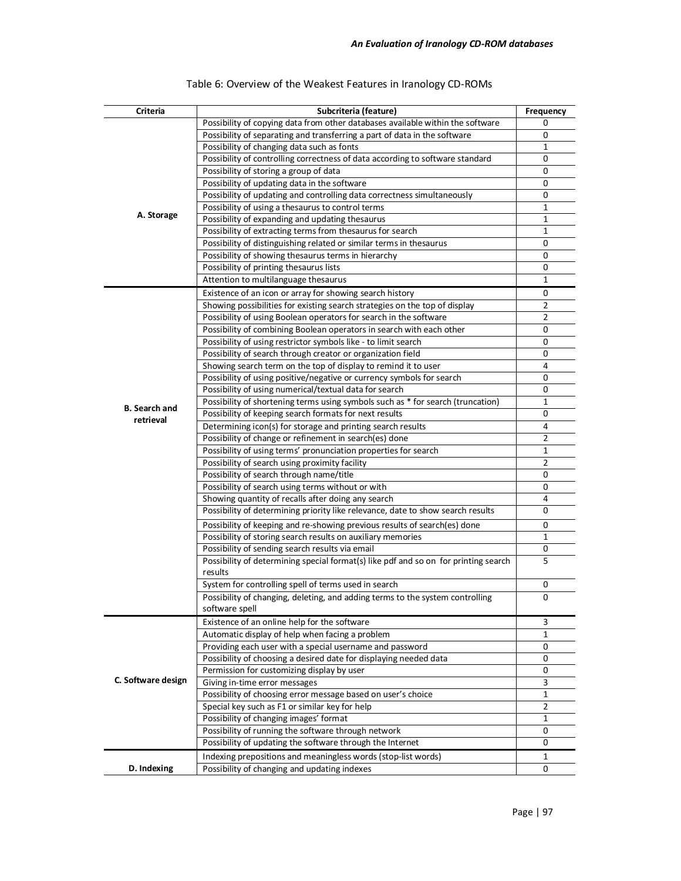| <b>Criteria</b>      | Subcriteria (feature)                                                                                           | <b>Frequency</b> |
|----------------------|-----------------------------------------------------------------------------------------------------------------|------------------|
|                      | Possibility of copying data from other databases available within the software                                  | 0                |
|                      | Possibility of separating and transferring a part of data in the software                                       | 0                |
|                      | Possibility of changing data such as fonts                                                                      | 1                |
|                      | Possibility of controlling correctness of data according to software standard                                   | 0                |
|                      | Possibility of storing a group of data                                                                          | 0                |
|                      | Possibility of updating data in the software                                                                    | 0                |
|                      | Possibility of updating and controlling data correctness simultaneously                                         | 0                |
|                      | Possibility of using a thesaurus to control terms                                                               | 1                |
| A. Storage           | Possibility of expanding and updating thesaurus                                                                 | $\mathbf 1$      |
|                      | Possibility of extracting terms from thesaurus for search                                                       | $\mathbf 1$      |
|                      | Possibility of distinguishing related or similar terms in thesaurus                                             | 0                |
|                      | Possibility of showing thesaurus terms in hierarchy                                                             | 0                |
|                      | Possibility of printing thesaurus lists                                                                         | 0                |
|                      | Attention to multilanguage thesaurus                                                                            | 1                |
|                      | Existence of an icon or array for showing search history                                                        | 0                |
|                      | Showing possibilities for existing search strategies on the top of display                                      | $\overline{2}$   |
|                      | Possibility of using Boolean operators for search in the software                                               | $\overline{2}$   |
|                      | Possibility of combining Boolean operators in search with each other                                            | 0                |
|                      | Possibility of using restrictor symbols like - to limit search                                                  | 0                |
|                      | Possibility of search through creator or organization field                                                     | 0                |
|                      | Showing search term on the top of display to remind it to user                                                  | 4                |
|                      | Possibility of using positive/negative or currency symbols for search                                           | 0                |
|                      | Possibility of using numerical/textual data for search                                                          | 0                |
| <b>B.</b> Search and | Possibility of shortening terms using symbols such as * for search (truncation)                                 | 1                |
| retrieval            | Possibility of keeping search formats for next results                                                          | 0                |
|                      | Determining icon(s) for storage and printing search results                                                     | 4                |
|                      | Possibility of change or refinement in search(es) done                                                          | $\overline{2}$   |
|                      | Possibility of using terms' pronunciation properties for search                                                 | $\mathbf 1$      |
|                      | Possibility of search using proximity facility                                                                  | $\overline{2}$   |
|                      | Possibility of search through name/title                                                                        | 0                |
|                      | Possibility of search using terms without or with                                                               | 0                |
|                      | Showing quantity of recalls after doing any search                                                              | 4                |
|                      | Possibility of determining priority like relevance, date to show search results                                 | 0                |
|                      | Possibility of keeping and re-showing previous results of search(es) done                                       | 0                |
|                      | Possibility of storing search results on auxiliary memories                                                     | $\mathbf{1}$     |
|                      | Possibility of sending search results via email                                                                 | 0                |
|                      | Possibility of determining special format(s) like pdf and so on for printing search                             | 5                |
|                      | results                                                                                                         |                  |
|                      | System for controlling spell of terms used in search                                                            | 0                |
|                      | Possibility of changing, deleting, and adding terms to the system controlling                                   | 0                |
|                      | software spell                                                                                                  |                  |
|                      | Existence of an online help for the software                                                                    | 3                |
|                      | Automatic display of help when facing a problem                                                                 | 1                |
|                      | Providing each user with a special username and password                                                        | 0                |
|                      | Possibility of choosing a desired date for displaying needed data<br>Permission for customizing display by user | 0<br>0           |
| C. Software design   |                                                                                                                 |                  |
|                      | Giving in-time error messages<br>Possibility of choosing error message based on user's choice                   | 3<br>$\mathbf 1$ |
|                      | Special key such as F1 or similar key for help                                                                  | $\overline{2}$   |
|                      | Possibility of changing images' format                                                                          | 1                |
|                      | Possibility of running the software through network                                                             | 0                |
|                      | Possibility of updating the software through the Internet                                                       | 0                |
|                      |                                                                                                                 |                  |
| D. Indexing          | Indexing prepositions and meaningless words (stop-list words)<br>Possibility of changing and updating indexes   | 1                |
|                      |                                                                                                                 | 0                |

# Table 6: Overview of the Weakest Features in Iranology CD-ROMs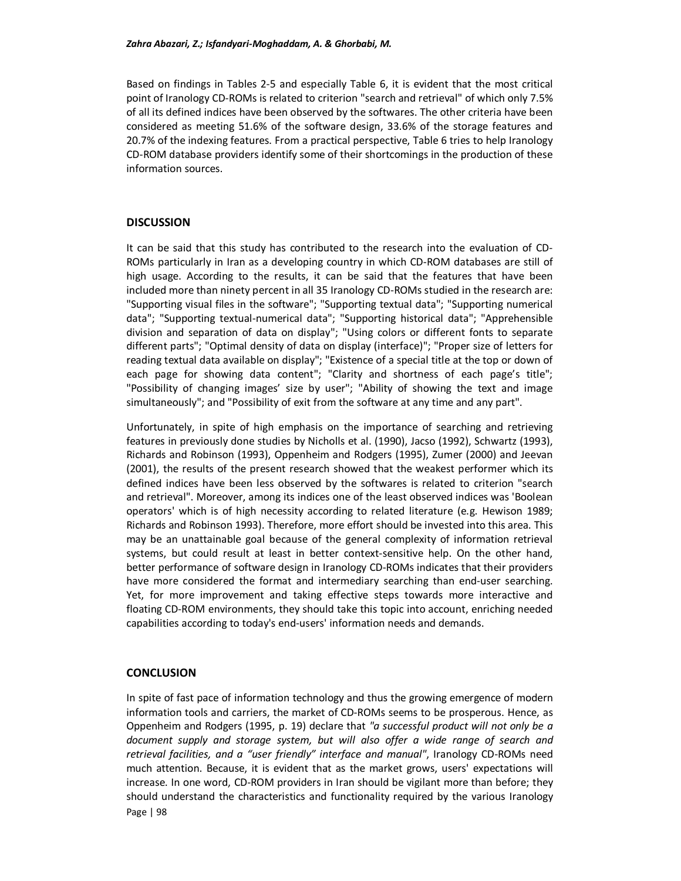Based on findings in Tables 2-5 and especially Table 6, it is evident that the most critical point of Iranology CD-ROMs is related to criterion "search and retrieval" of which only 7.5% of all its defined indices have been observed by the softwares. The other criteria have been considered as meeting 51.6% of the software design, 33.6% of the storage features and 20.7% of the indexing features. From a practical perspective, Table 6 tries to help Iranology CD-ROM database providers identify some of their shortcomings in the production of these information sources.

#### **DISCUSSION**

It can be said that this study has contributed to the research into the evaluation of CD-ROMs particularly in Iran as a developing country in which CD-ROM databases are still of high usage. According to the results, it can be said that the features that have been included more than ninety percent in all 35 Iranology CD-ROMs studied in the research are: "Supporting visual files in the software"; "Supporting textual data"; "Supporting numerical data"; "Supporting textual-numerical data"; "Supporting historical data"; "Apprehensible division and separation of data on display"; "Using colors or different fonts to separate different parts"; "Optimal density of data on display (interface)"; "Proper size of letters for reading textual data available on display"; "Existence of a special title at the top or down of each page for showing data content"; "Clarity and shortness of each page's title"; "Possibility of changing images' size by user"; "Ability of showing the text and image simultaneously"; and "Possibility of exit from the software at any time and any part".

Unfortunately, in spite of high emphasis on the importance of searching and retrieving features in previously done studies by Nicholls et al. (1990), Jacso (1992), Schwartz (1993), Richards and Robinson (1993), Oppenheim and Rodgers (1995), Zumer (2000) and Jeevan (2001), the results of the present research showed that the weakest performer which its defined indices have been less observed by the softwares is related to criterion "search and retrieval". Moreover, among its indices one of the least observed indices was 'Boolean operators' which is of high necessity according to related literature (e.g. Hewison 1989; Richards and Robinson 1993). Therefore, more effort should be invested into this area. This may be an unattainable goal because of the general complexity of information retrieval systems, but could result at least in better context-sensitive help. On the other hand, better performance of software design in Iranology CD-ROMs indicates that their providers have more considered the format and intermediary searching than end-user searching. Yet, for more improvement and taking effective steps towards more interactive and floating CD-ROM environments, they should take this topic into account, enriching needed capabilities according to today's end-users' information needs and demands.

#### **CONCLUSION**

Page | 98 In spite of fast pace of information technology and thus the growing emergence of modern information tools and carriers, the market of CD-ROMs seems to be prosperous. Hence, as Oppenheim and Rodgers (1995, p. 19) declare that *"a successful product will not only be a document supply and storage system, but will also offer a wide range of search and retrieval facilities, and a "user friendly" interface and manual"*, Iranology CD-ROMs need much attention. Because, it is evident that as the market grows, users' expectations will increase. In one word, CD-ROM providers in Iran should be vigilant more than before; they should understand the characteristics and functionality required by the various Iranology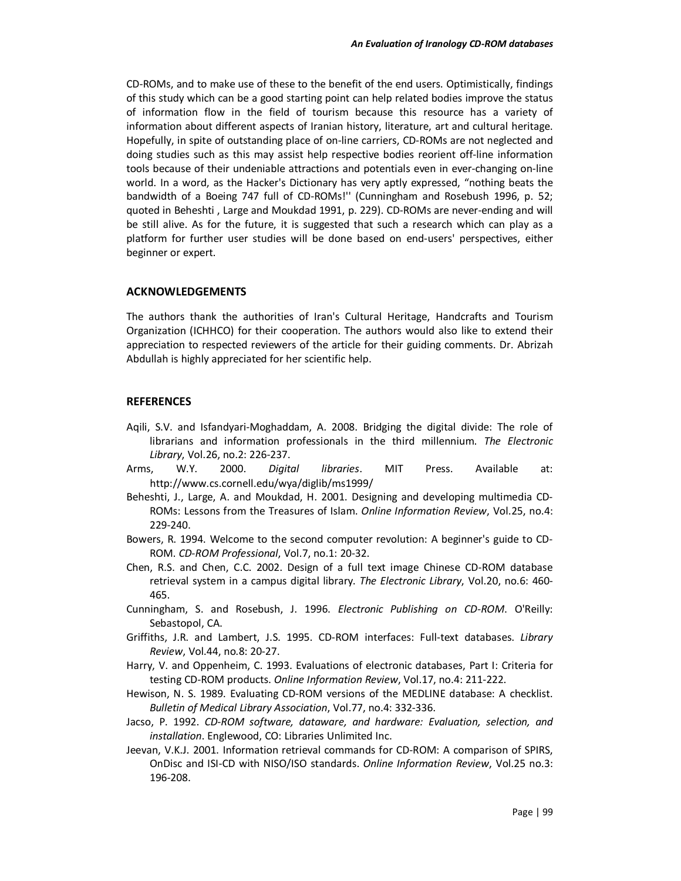CD-ROMs, and to make use of these to the benefit of the end users. Optimistically, findings of this study which can be a good starting point can help related bodies improve the status of information flow in the field of tourism because this resource has a variety of information about different aspects of Iranian history, literature, art and cultural heritage. Hopefully, in spite of outstanding place of on-line carriers, CD-ROMs are not neglected and doing studies such as this may assist help respective bodies reorient off-line information tools because of their undeniable attractions and potentials even in ever-changing on-line world. In a word, as the Hacker's Dictionary has very aptly expressed, "nothing beats the bandwidth of a Boeing 747 full of CD-ROMs!'' (Cunningham and Rosebush 1996, p. 52; quoted in Beheshti , Large and Moukdad 1991, p. 229). CD-ROMs are never-ending and will be still alive. As for the future, it is suggested that such a research which can play as a platform for further user studies will be done based on end-users' perspectives, either beginner or expert.

#### **ACKNOWLEDGEMENTS**

The authors thank the authorities of Iran's Cultural Heritage, Handcrafts and Tourism Organization (ICHHCO) for their cooperation. The authors would also like to extend their appreciation to respected reviewers of the article for their guiding comments. Dr. Abrizah Abdullah is highly appreciated for her scientific help.

#### **REFERENCES**

- Aqili, S.V. and Isfandyari-Moghaddam, A. 2008. Bridging the digital divide: The role of librarians and information professionals in the third millennium. *The Electronic Library*, Vol.26, no.2: 226-237.
- Arms, W.Y. 2000. *Digital libraries*. MIT Press. Available at: http://www.cs.cornell.edu/wya/diglib/ms1999/
- Beheshti, J., Large, A. and Moukdad, H. 2001. Designing and developing multimedia CD-ROMs: Lessons from the Treasures of Islam. *Online Information Review*, Vol.25, no.4: 229-240.
- Bowers, R. 1994. Welcome to the second computer revolution: A beginner's guide to CD-ROM. *CD-ROM Professional*, Vol.7, no.1: 20-32.
- Chen, R.S. and Chen, C.C. 2002. Design of a full text image Chinese CD-ROM database retrieval system in a campus digital library. *The Electronic Library*, Vol.20, no.6: 460- 465.
- Cunningham, S. and Rosebush, J. 1996. *Electronic Publishing on CD-ROM*. O'Reilly: Sebastopol, CA.
- Griffiths, J.R. and Lambert, J.S. 1995. CD-ROM interfaces: Full-text databases. *Library Review*, Vol.44, no.8: 20-27.
- Harry, V. and Oppenheim, C. 1993. Evaluations of electronic databases, Part I: Criteria for testing CD-ROM products. *Online Information Review*, Vol.17, no.4: 211-222.
- Hewison, N. S. 1989. Evaluating CD-ROM versions of the MEDLINE database: A checklist. *Bulletin of Medical Library Association*, Vol.77, no.4: 332-336.
- Jacso, P. 1992. *CD-ROM software, dataware, and hardware: Evaluation, selection, and installation*. Englewood, CO: Libraries Unlimited Inc.
- Jeevan, V.K.J. 2001. Information retrieval commands for CD-ROM: A comparison of SPIRS, OnDisc and ISI-CD with NISO/ISO standards. *Online Information Review*, Vol.25 no.3: 196-208.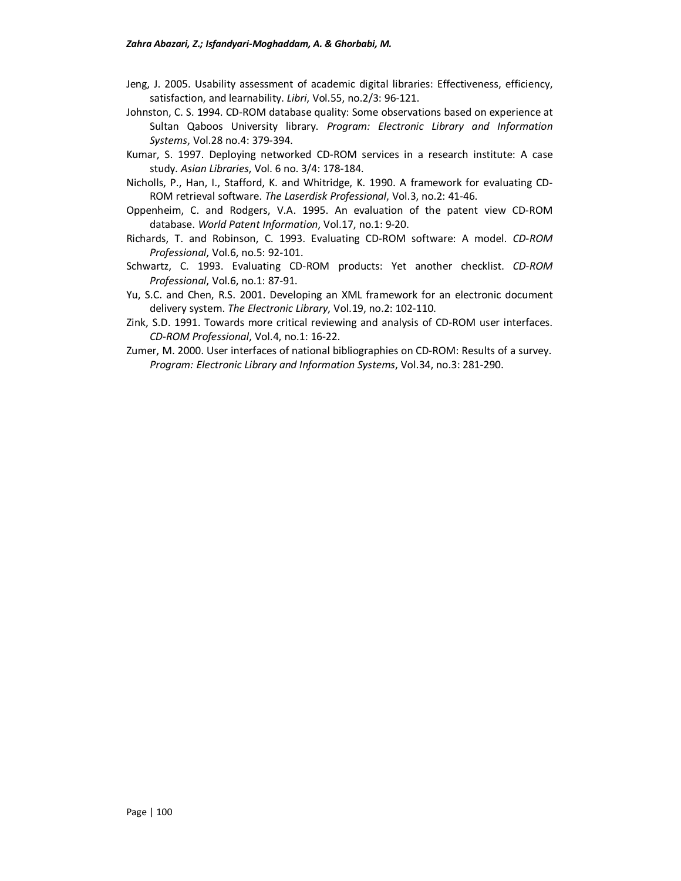- Jeng, J. 2005. Usability assessment of academic digital libraries: Effectiveness, efficiency, satisfaction, and learnability. *Libri*, Vol.55, no.2/3: 96-121.
- Johnston, C. S. 1994. CD-ROM database quality: Some observations based on experience at Sultan Qaboos University library. *Program: Electronic Library and Information Systems*, Vol.28 no.4: 379-394.
- Kumar, S. 1997. Deploying networked CD-ROM services in a research institute: A case study. *Asian Libraries*, Vol. 6 no. 3/4: 178-184.
- Nicholls, P., Han, I., Stafford, K. and Whitridge, K. 1990. A framework for evaluating CD-ROM retrieval software. *The Laserdisk Professional*, Vol.3, no.2: 41-46.
- Oppenheim, C. and Rodgers, V.A. 1995. An evaluation of the patent view CD-ROM database. *World Patent Information*, Vol.17, no.1: 9-20.
- Richards, T. and Robinson, C. 1993. Evaluating CD-ROM software: A model. *CD-ROM Professional*, Vol.6, no.5: 92-101.
- Schwartz, C. 1993. Evaluating CD-ROM products: Yet another checklist. *CD-ROM Professional*, Vol.6, no.1: 87-91.
- Yu, S.C. and Chen, R.S. 2001. Developing an XML framework for an electronic document delivery system. *The Electronic Library*, Vol.19, no.2: 102-110.
- Zink, S.D. 1991. Towards more critical reviewing and analysis of CD-ROM user interfaces. *CD-ROM Professional*, Vol.4, no.1: 16-22.
- Zumer, M. 2000. User interfaces of national bibliographies on CD-ROM: Results of a survey. *Program: Electronic Library and Information Systems*, Vol.34, no.3: 281-290.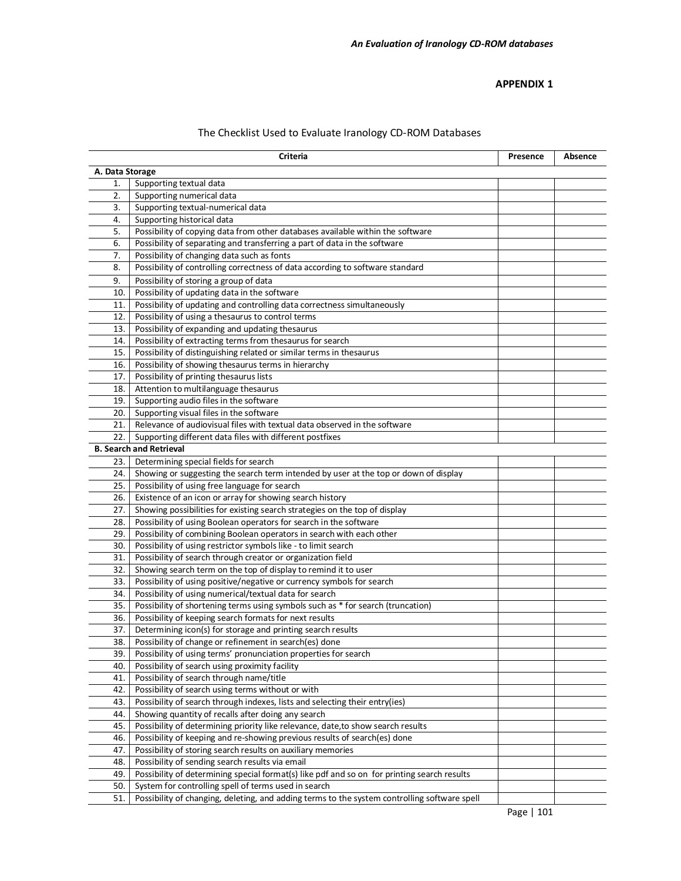#### **APPENDIX 1**

|     | Criteria                                                                                     | Presence | Absence |  |  |
|-----|----------------------------------------------------------------------------------------------|----------|---------|--|--|
|     | A. Data Storage                                                                              |          |         |  |  |
| 1.  | Supporting textual data                                                                      |          |         |  |  |
| 2.  | Supporting numerical data                                                                    |          |         |  |  |
| 3.  | Supporting textual-numerical data                                                            |          |         |  |  |
| 4.  | Supporting historical data                                                                   |          |         |  |  |
| 5.  | Possibility of copying data from other databases available within the software               |          |         |  |  |
| 6.  | Possibility of separating and transferring a part of data in the software                    |          |         |  |  |
| 7.  | Possibility of changing data such as fonts                                                   |          |         |  |  |
| 8.  | Possibility of controlling correctness of data according to software standard                |          |         |  |  |
| 9.  | Possibility of storing a group of data                                                       |          |         |  |  |
| 10. | Possibility of updating data in the software                                                 |          |         |  |  |
| 11. | Possibility of updating and controlling data correctness simultaneously                      |          |         |  |  |
| 12. | Possibility of using a thesaurus to control terms                                            |          |         |  |  |
| 13. | Possibility of expanding and updating thesaurus                                              |          |         |  |  |
| 14. | Possibility of extracting terms from thesaurus for search                                    |          |         |  |  |
| 15. | Possibility of distinguishing related or similar terms in thesaurus                          |          |         |  |  |
| 16. | Possibility of showing thesaurus terms in hierarchy                                          |          |         |  |  |
| 17. | Possibility of printing thesaurus lists                                                      |          |         |  |  |
| 18. | Attention to multilanguage thesaurus                                                         |          |         |  |  |
| 19. | Supporting audio files in the software                                                       |          |         |  |  |
| 20. | Supporting visual files in the software                                                      |          |         |  |  |
| 21. | Relevance of audiovisual files with textual data observed in the software                    |          |         |  |  |
| 22. | Supporting different data files with different postfixes                                     |          |         |  |  |
|     | <b>B. Search and Retrieval</b>                                                               |          |         |  |  |
| 23. | Determining special fields for search                                                        |          |         |  |  |
| 24. | Showing or suggesting the search term intended by user at the top or down of display         |          |         |  |  |
| 25. | Possibility of using free language for search                                                |          |         |  |  |
| 26. | Existence of an icon or array for showing search history                                     |          |         |  |  |
| 27. | Showing possibilities for existing search strategies on the top of display                   |          |         |  |  |
| 28. | Possibility of using Boolean operators for search in the software                            |          |         |  |  |
| 29. | Possibility of combining Boolean operators in search with each other                         |          |         |  |  |
| 30. | Possibility of using restrictor symbols like - to limit search                               |          |         |  |  |
| 31. | Possibility of search through creator or organization field                                  |          |         |  |  |
| 32. | Showing search term on the top of display to remind it to user                               |          |         |  |  |
| 33. | Possibility of using positive/negative or currency symbols for search                        |          |         |  |  |
| 34. | Possibility of using numerical/textual data for search                                       |          |         |  |  |
| 35. | Possibility of shortening terms using symbols such as * for search (truncation)              |          |         |  |  |
| 36. | Possibility of keeping search formats for next results                                       |          |         |  |  |
| 37. | Determining icon(s) for storage and printing search results                                  |          |         |  |  |
| 38. | Possibility of change or refinement in search(es) done                                       |          |         |  |  |
| 39. | Possibility of using terms' pronunciation properties for search                              |          |         |  |  |
| 40. | Possibility of search using proximity facility                                               |          |         |  |  |
| 41. | Possibility of search through name/title                                                     |          |         |  |  |
| 42. | Possibility of search using terms without or with                                            |          |         |  |  |
| 43. | Possibility of search through indexes, lists and selecting their entry(ies)                  |          |         |  |  |
| 44. | Showing quantity of recalls after doing any search                                           |          |         |  |  |
| 45. | Possibility of determining priority like relevance, date, to show search results             |          |         |  |  |
| 46. | Possibility of keeping and re-showing previous results of search(es) done                    |          |         |  |  |
| 47. | Possibility of storing search results on auxiliary memories                                  |          |         |  |  |
| 48. | Possibility of sending search results via email                                              |          |         |  |  |
| 49. | Possibility of determining special format(s) like pdf and so on for printing search results  |          |         |  |  |
| 50. | System for controlling spell of terms used in search                                         |          |         |  |  |
| 51. | Possibility of changing, deleting, and adding terms to the system controlling software spell |          |         |  |  |

# The Checklist Used to Evaluate Iranology CD-ROM Databases